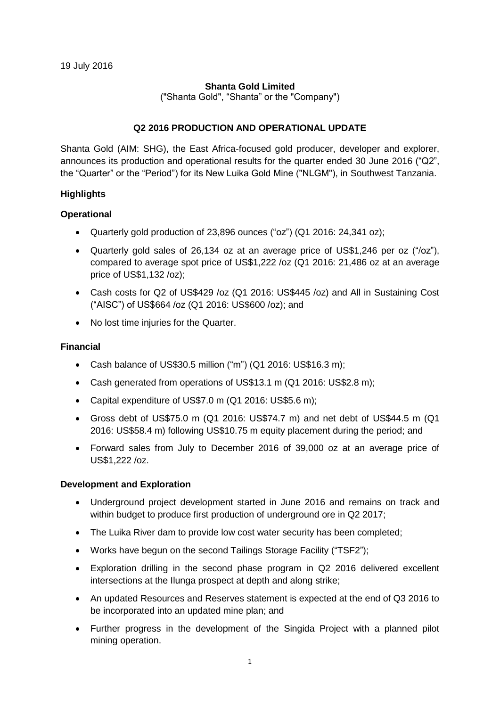## **Shanta Gold Limited**

("Shanta Gold", "Shanta" or the "Company")

## **Q2 2016 PRODUCTION AND OPERATIONAL UPDATE**

Shanta Gold (AIM: SHG), the East Africa-focused gold producer, developer and explorer, announces its production and operational results for the quarter ended 30 June 2016 ("Q2", the "Quarter" or the "Period") for its New Luika Gold Mine ("NLGM"), in Southwest Tanzania.

## **Highlights**

## **Operational**

- Quarterly gold production of 23,896 ounces ("oz") (Q1 2016: 24,341 oz);
- Quarterly gold sales of 26,134 oz at an average price of US\$1,246 per oz ("/oz"), compared to average spot price of US\$1,222 /oz (Q1 2016: 21,486 oz at an average price of US\$1,132 /oz);
- Cash costs for Q2 of US\$429 /oz (Q1 2016: US\$445 /oz) and All in Sustaining Cost ("AISC") of US\$664 /oz (Q1 2016: US\$600 /oz); and
- No lost time injuries for the Quarter.

## **Financial**

- Cash balance of US\$30.5 million ("m") (Q1 2016: US\$16.3 m);
- Cash generated from operations of US\$13.1 m (Q1 2016: US\$2.8 m);
- Capital expenditure of US\$7.0 m (Q1 2016: US\$5.6 m);
- Gross debt of US\$75.0 m (Q1 2016: US\$74.7 m) and net debt of US\$44.5 m (Q1 2016: US\$58.4 m) following US\$10.75 m equity placement during the period; and
- Forward sales from July to December 2016 of 39,000 oz at an average price of US\$1,222 /oz.

## **Development and Exploration**

- Underground project development started in June 2016 and remains on track and within budget to produce first production of underground ore in Q2 2017;
- The Luika River dam to provide low cost water security has been completed;
- Works have begun on the second Tailings Storage Facility ("TSF2");
- Exploration drilling in the second phase program in Q2 2016 delivered excellent intersections at the Ilunga prospect at depth and along strike;
- An updated Resources and Reserves statement is expected at the end of Q3 2016 to be incorporated into an updated mine plan; and
- Further progress in the development of the Singida Project with a planned pilot mining operation.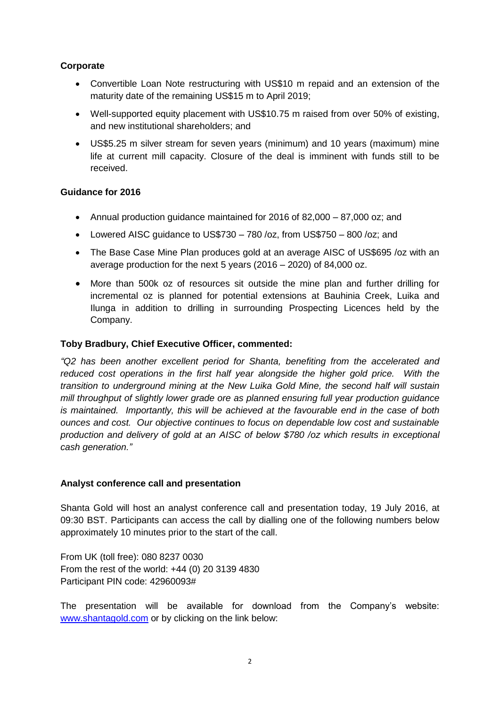## **Corporate**

- Convertible Loan Note restructuring with US\$10 m repaid and an extension of the maturity date of the remaining US\$15 m to April 2019;
- Well-supported equity placement with US\$10.75 m raised from over 50% of existing, and new institutional shareholders; and
- US\$5.25 m silver stream for seven years (minimum) and 10 years (maximum) mine life at current mill capacity. Closure of the deal is imminent with funds still to be received.

## **Guidance for 2016**

- Annual production guidance maintained for 2016 of 82,000 87,000 oz; and
- Lowered AISC guidance to US\$730 780 /oz, from US\$750 800 /oz; and
- The Base Case Mine Plan produces gold at an average AISC of US\$695 /oz with an average production for the next 5 years (2016 – 2020) of 84,000 oz.
- More than 500k oz of resources sit outside the mine plan and further drilling for incremental oz is planned for potential extensions at Bauhinia Creek, Luika and Ilunga in addition to drilling in surrounding Prospecting Licences held by the Company.

## **Toby Bradbury, Chief Executive Officer, commented:**

*"Q2 has been another excellent period for Shanta, benefiting from the accelerated and reduced cost operations in the first half year alongside the higher gold price. With the transition to underground mining at the New Luika Gold Mine, the second half will sustain mill throughput of slightly lower grade ore as planned ensuring full year production guidance is maintained. Importantly, this will be achieved at the favourable end in the case of both ounces and cost. Our objective continues to focus on dependable low cost and sustainable production and delivery of gold at an AISC of below \$780 /oz which results in exceptional cash generation."*

## **Analyst conference call and presentation**

Shanta Gold will host an analyst conference call and presentation today, 19 July 2016, at 09:30 BST. Participants can access the call by dialling one of the following numbers below approximately 10 minutes prior to the start of the call.

From UK (toll free): 080 8237 0030 From the rest of the world: +44 (0) 20 3139 4830 Participant PIN code: 42960093#

The presentation will be available for download from the Company's website: [www.shantagold.com](http://www.shantagold.com/) or by clicking on the link below: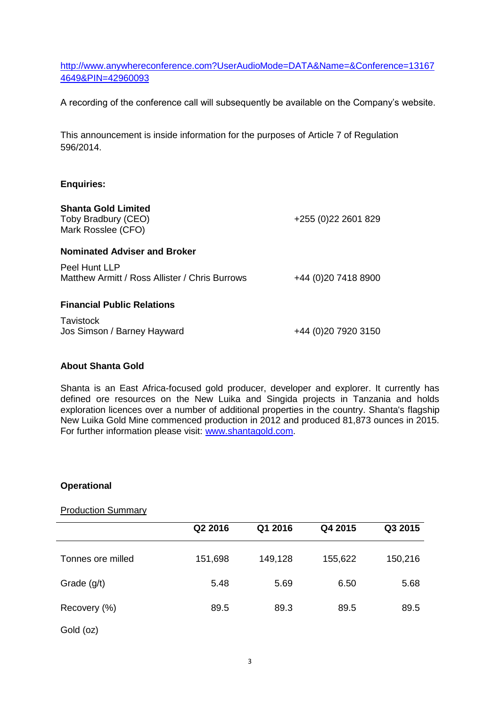[http://www.anywhereconference.com?UserAudioMode=DATA&Name=&Conference=13167](http://www.anywhereconference.com/?UserAudioMode=DATA&Name=&Conference=131674649&PIN=42960093) [4649&PIN=42960093](http://www.anywhereconference.com/?UserAudioMode=DATA&Name=&Conference=131674649&PIN=42960093)

A recording of the conference call will subsequently be available on the Company's website.

This announcement is inside information for the purposes of Article 7 of Regulation 596/2014.

## **Enquiries:**

|  |  |  | <b>Shanta Gold Limited</b> |
|--|--|--|----------------------------|
|--|--|--|----------------------------|

Toby Bradbury (CEO) Mark Rosslee (CFO)

#### **Nominated Adviser and Broker**

Peel Hunt LLP Matthew Armitt / Ross Allister / Chris Burrows +44 (0)20 7418 8900

#### **Financial Public Relations**

**Tavistock** Jos Simson / Barney Hayward +44 (0)20 7920 3150

+255 (0)22 2601 829

#### **About Shanta Gold**

Shanta is an East Africa-focused gold producer, developer and explorer. It currently has defined ore resources on the New Luika and Singida projects in Tanzania and holds exploration licences over a number of additional properties in the country. Shanta's flagship New Luika Gold Mine commenced production in 2012 and produced 81,873 ounces in 2015. For further information please visit: [www.shantagold.com.](http://www.shantagold.com/)

#### **Operational**

### Production Summary

|                   | Q2 2016 | Q1 2016 | Q4 2015 | Q3 2015 |
|-------------------|---------|---------|---------|---------|
| Tonnes ore milled | 151,698 | 149,128 | 155,622 | 150,216 |
| Grade $(g/t)$     | 5.48    | 5.69    | 6.50    | 5.68    |
| Recovery (%)      | 89.5    | 89.3    | 89.5    | 89.5    |
| Gold (oz)         |         |         |         |         |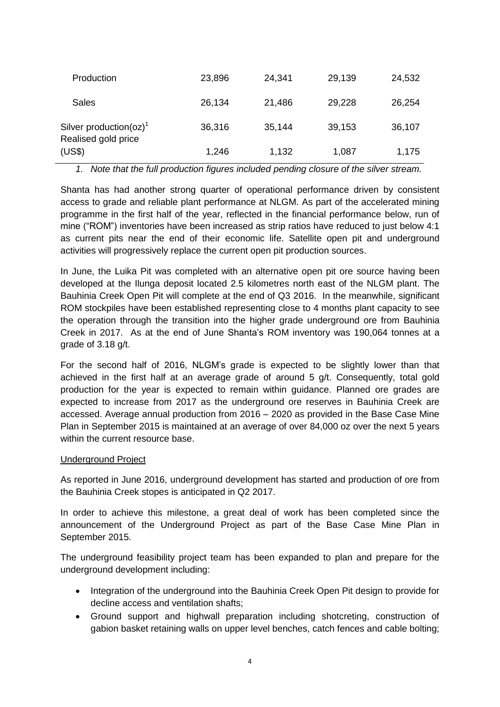| Production                                                    | 23,896 | 24,341 | 29,139 | 24,532 |
|---------------------------------------------------------------|--------|--------|--------|--------|
| Sales                                                         | 26,134 | 21,486 | 29,228 | 26,254 |
| Silver production( $oz$ ) <sup>1</sup><br>Realised gold price | 36,316 | 35,144 | 39,153 | 36,107 |
| (US\$)                                                        | 1,246  | 1,132  | 1,087  | 1,175  |

*1. Note that the full production figures included pending closure of the silver stream.*

Shanta has had another strong quarter of operational performance driven by consistent access to grade and reliable plant performance at NLGM. As part of the accelerated mining programme in the first half of the year, reflected in the financial performance below, run of mine ("ROM") inventories have been increased as strip ratios have reduced to just below 4:1 as current pits near the end of their economic life. Satellite open pit and underground activities will progressively replace the current open pit production sources.

In June, the Luika Pit was completed with an alternative open pit ore source having been developed at the Ilunga deposit located 2.5 kilometres north east of the NLGM plant. The Bauhinia Creek Open Pit will complete at the end of Q3 2016. In the meanwhile, significant ROM stockpiles have been established representing close to 4 months plant capacity to see the operation through the transition into the higher grade underground ore from Bauhinia Creek in 2017. As at the end of June Shanta's ROM inventory was 190,064 tonnes at a grade of 3.18 g/t.

For the second half of 2016, NLGM's grade is expected to be slightly lower than that achieved in the first half at an average grade of around 5 g/t. Consequently, total gold production for the year is expected to remain within guidance. Planned ore grades are expected to increase from 2017 as the underground ore reserves in Bauhinia Creek are accessed. Average annual production from 2016 – 2020 as provided in the Base Case Mine Plan in September 2015 is maintained at an average of over 84,000 oz over the next 5 years within the current resource base.

## Underground Project

As reported in June 2016, underground development has started and production of ore from the Bauhinia Creek stopes is anticipated in Q2 2017.

In order to achieve this milestone, a great deal of work has been completed since the announcement of the Underground Project as part of the Base Case Mine Plan in September 2015.

The underground feasibility project team has been expanded to plan and prepare for the underground development including:

- Integration of the underground into the Bauhinia Creek Open Pit design to provide for decline access and ventilation shafts;
- Ground support and highwall preparation including shotcreting, construction of gabion basket retaining walls on upper level benches, catch fences and cable bolting;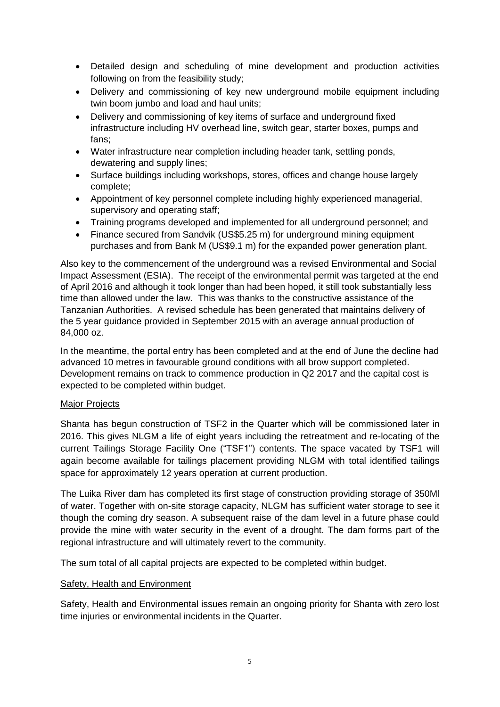- Detailed design and scheduling of mine development and production activities following on from the feasibility study;
- Delivery and commissioning of key new underground mobile equipment including twin boom jumbo and load and haul units;
- Delivery and commissioning of key items of surface and underground fixed infrastructure including HV overhead line, switch gear, starter boxes, pumps and fans;
- Water infrastructure near completion including header tank, settling ponds, dewatering and supply lines;
- Surface buildings including workshops, stores, offices and change house largely complete;
- Appointment of key personnel complete including highly experienced managerial, supervisory and operating staff;
- Training programs developed and implemented for all underground personnel; and
- Finance secured from Sandvik (US\$5.25 m) for underground mining equipment purchases and from Bank M (US\$9.1 m) for the expanded power generation plant.

Also key to the commencement of the underground was a revised Environmental and Social Impact Assessment (ESIA). The receipt of the environmental permit was targeted at the end of April 2016 and although it took longer than had been hoped, it still took substantially less time than allowed under the law. This was thanks to the constructive assistance of the Tanzanian Authorities. A revised schedule has been generated that maintains delivery of the 5 year guidance provided in September 2015 with an average annual production of 84,000 oz.

In the meantime, the portal entry has been completed and at the end of June the decline had advanced 10 metres in favourable ground conditions with all brow support completed. Development remains on track to commence production in Q2 2017 and the capital cost is expected to be completed within budget.

## Major Projects

Shanta has begun construction of TSF2 in the Quarter which will be commissioned later in 2016. This gives NLGM a life of eight years including the retreatment and re-locating of the current Tailings Storage Facility One ("TSF1") contents. The space vacated by TSF1 will again become available for tailings placement providing NLGM with total identified tailings space for approximately 12 years operation at current production.

The Luika River dam has completed its first stage of construction providing storage of 350Ml of water. Together with on-site storage capacity, NLGM has sufficient water storage to see it though the coming dry season. A subsequent raise of the dam level in a future phase could provide the mine with water security in the event of a drought. The dam forms part of the regional infrastructure and will ultimately revert to the community.

The sum total of all capital projects are expected to be completed within budget.

## Safety, Health and Environment

Safety, Health and Environmental issues remain an ongoing priority for Shanta with zero lost time injuries or environmental incidents in the Quarter.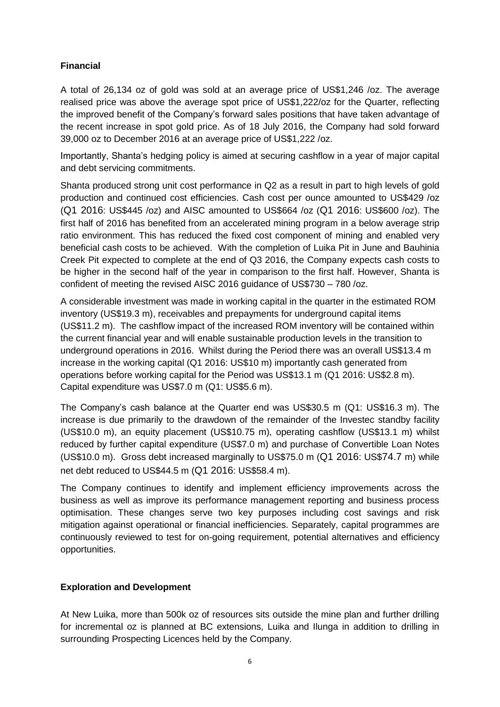# **Financial**

A total of 26,134 oz of gold was sold at an average price of US\$1,246 /oz. The average realised price was above the average spot price of US\$1,222/oz for the Quarter, reflecting the improved benefit of the Company's forward sales positions that have taken advantage of the recent increase in spot gold price. As of 18 July 2016, the Company had sold forward 39,000 oz to December 2016 at an average price of US\$1,222 /oz.

Importantly, Shanta's hedging policy is aimed at securing cashflow in a year of major capital and debt servicing commitments.

Shanta produced strong unit cost performance in Q2 as a result in part to high levels of gold production and continued cost efficiencies. Cash cost per ounce amounted to US\$429 /oz (Q1 2016: US\$445 /oz) and AISC amounted to US\$664 /oz (Q1 2016: US\$600 /oz). The first half of 2016 has benefited from an accelerated mining program in a below average strip ratio environment. This has reduced the fixed cost component of mining and enabled very beneficial cash costs to be achieved. With the completion of Luika Pit in June and Bauhinia Creek Pit expected to complete at the end of Q3 2016, the Company expects cash costs to be higher in the second half of the year in comparison to the first half. However, Shanta is confident of meeting the revised AISC 2016 guidance of US\$730 – 780 /oz.

A considerable investment was made in working capital in the quarter in the estimated ROM inventory (US\$19.3 m), receivables and prepayments for underground capital items (US\$11.2 m). The cashflow impact of the increased ROM inventory will be contained within the current financial year and will enable sustainable production levels in the transition to underground operations in 2016. Whilst during the Period there was an overall US\$13.4 m increase in the working capital (Q1 2016: US\$10 m) importantly cash generated from operations before working capital for the Period was US\$13.1 m (Q1 2016: US\$2.8 m). Capital expenditure was US\$7.0 m (Q1: US\$5.6 m).

The Company's cash balance at the Quarter end was US\$30.5 m (Q1: US\$16.3 m). The increase is due primarily to the drawdown of the remainder of the Investec standby facility (US\$10.0 m), an equity placement (US\$10.75 m), operating cashflow (US\$13.1 m) whilst reduced by further capital expenditure (US\$7.0 m) and purchase of Convertible Loan Notes (US\$10.0 m). Gross debt increased marginally to US\$75.0 m (Q1 2016: US\$74.7 m) while net debt reduced to US\$44.5 m (Q1 2016: US\$58.4 m).

The Company continues to identify and implement efficiency improvements across the business as well as improve its performance management reporting and business process optimisation. These changes serve two key purposes including cost savings and risk mitigation against operational or financial inefficiencies. Separately, capital programmes are continuously reviewed to test for on-going requirement, potential alternatives and efficiency opportunities.

# **Exploration and Development**

At New Luika, more than 500k oz of resources sits outside the mine plan and further drilling for incremental oz is planned at BC extensions, Luika and Ilunga in addition to drilling in surrounding Prospecting Licences held by the Company.